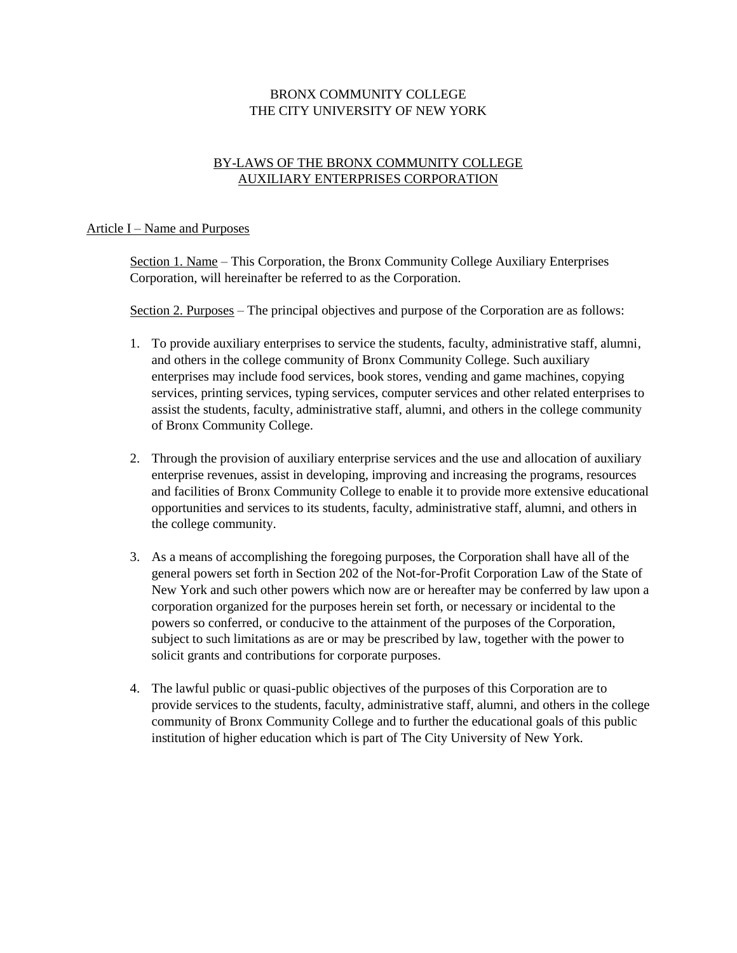# BRONX COMMUNITY COLLEGE THE CITY UNIVERSITY OF NEW YORK

# BY-LAWS OF THE BRONX COMMUNITY COLLEGE AUXILIARY ENTERPRISES CORPORATION

#### Article I – Name and Purposes

Section 1. Name – This Corporation, the Bronx Community College Auxiliary Enterprises Corporation, will hereinafter be referred to as the Corporation.

Section 2. Purposes – The principal objectives and purpose of the Corporation are as follows:

- 1. To provide auxiliary enterprises to service the students, faculty, administrative staff, alumni, and others in the college community of Bronx Community College. Such auxiliary enterprises may include food services, book stores, vending and game machines, copying services, printing services, typing services, computer services and other related enterprises to assist the students, faculty, administrative staff, alumni, and others in the college community of Bronx Community College.
- 2. Through the provision of auxiliary enterprise services and the use and allocation of auxiliary enterprise revenues, assist in developing, improving and increasing the programs, resources and facilities of Bronx Community College to enable it to provide more extensive educational opportunities and services to its students, faculty, administrative staff, alumni, and others in the college community.
- 3. As a means of accomplishing the foregoing purposes, the Corporation shall have all of the general powers set forth in Section 202 of the Not-for-Profit Corporation Law of the State of New York and such other powers which now are or hereafter may be conferred by law upon a corporation organized for the purposes herein set forth, or necessary or incidental to the powers so conferred, or conducive to the attainment of the purposes of the Corporation, subject to such limitations as are or may be prescribed by law, together with the power to solicit grants and contributions for corporate purposes.
- 4. The lawful public or quasi-public objectives of the purposes of this Corporation are to provide services to the students, faculty, administrative staff, alumni, and others in the college community of Bronx Community College and to further the educational goals of this public institution of higher education which is part of The City University of New York.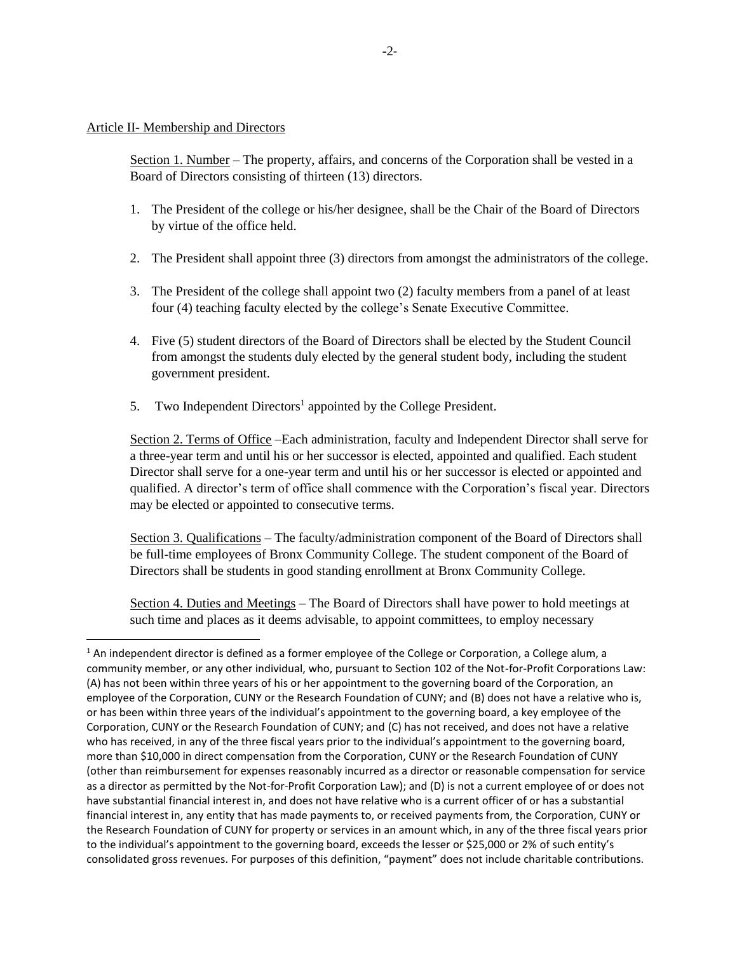#### Article II- Membership and Directors

 $\overline{\phantom{a}}$ 

Section 1. Number – The property, affairs, and concerns of the Corporation shall be vested in a Board of Directors consisting of thirteen (13) directors.

- 1. The President of the college or his/her designee, shall be the Chair of the Board of Directors by virtue of the office held.
- 2. The President shall appoint three (3) directors from amongst the administrators of the college.
- 3. The President of the college shall appoint two (2) faculty members from a panel of at least four (4) teaching faculty elected by the college's Senate Executive Committee.
- 4. Five (5) student directors of the Board of Directors shall be elected by the Student Council from amongst the students duly elected by the general student body, including the student government president.
- 5. Two Independent Directors<sup>1</sup> appointed by the College President.

Section 2. Terms of Office –Each administration, faculty and Independent Director shall serve for a three-year term and until his or her successor is elected, appointed and qualified. Each student Director shall serve for a one-year term and until his or her successor is elected or appointed and qualified. A director's term of office shall commence with the Corporation's fiscal year. Directors may be elected or appointed to consecutive terms.

Section 3. Qualifications – The faculty/administration component of the Board of Directors shall be full-time employees of Bronx Community College. The student component of the Board of Directors shall be students in good standing enrollment at Bronx Community College.

Section 4. Duties and Meetings – The Board of Directors shall have power to hold meetings at such time and places as it deems advisable, to appoint committees, to employ necessary

 $1$  An independent director is defined as a former employee of the College or Corporation, a College alum, a community member, or any other individual, who, pursuant to Section 102 of the Not-for-Profit Corporations Law: (A) has not been within three years of his or her appointment to the governing board of the Corporation, an employee of the Corporation, CUNY or the Research Foundation of CUNY; and (B) does not have a relative who is, or has been within three years of the individual's appointment to the governing board, a key employee of the Corporation, CUNY or the Research Foundation of CUNY; and (C) has not received, and does not have a relative who has received, in any of the three fiscal years prior to the individual's appointment to the governing board, more than \$10,000 in direct compensation from the Corporation, CUNY or the Research Foundation of CUNY (other than reimbursement for expenses reasonably incurred as a director or reasonable compensation for service as a director as permitted by the Not-for-Profit Corporation Law); and (D) is not a current employee of or does not have substantial financial interest in, and does not have relative who is a current officer of or has a substantial financial interest in, any entity that has made payments to, or received payments from, the Corporation, CUNY or the Research Foundation of CUNY for property or services in an amount which, in any of the three fiscal years prior to the individual's appointment to the governing board, exceeds the lesser or \$25,000 or 2% of such entity's consolidated gross revenues. For purposes of this definition, "payment" does not include charitable contributions.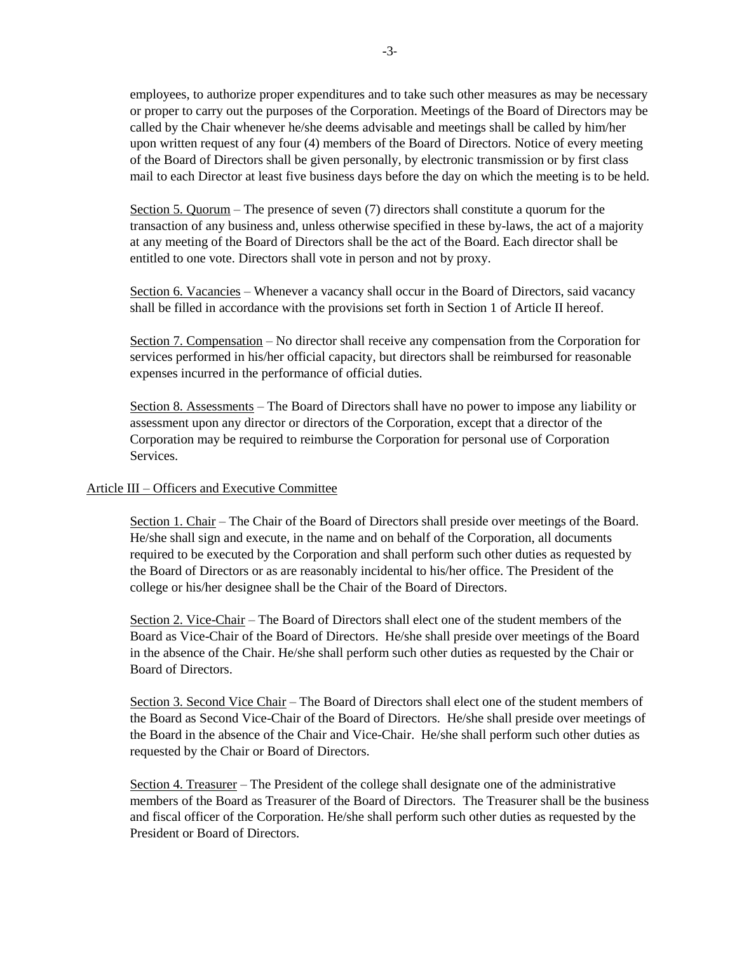employees, to authorize proper expenditures and to take such other measures as may be necessary or proper to carry out the purposes of the Corporation. Meetings of the Board of Directors may be called by the Chair whenever he/she deems advisable and meetings shall be called by him/her upon written request of any four (4) members of the Board of Directors. Notice of every meeting of the Board of Directors shall be given personally, by electronic transmission or by first class mail to each Director at least five business days before the day on which the meeting is to be held.

Section 5. Quorum – The presence of seven (7) directors shall constitute a quorum for the transaction of any business and, unless otherwise specified in these by-laws, the act of a majority at any meeting of the Board of Directors shall be the act of the Board. Each director shall be entitled to one vote. Directors shall vote in person and not by proxy.

Section 6. Vacancies – Whenever a vacancy shall occur in the Board of Directors, said vacancy shall be filled in accordance with the provisions set forth in Section 1 of Article II hereof.

Section 7. Compensation – No director shall receive any compensation from the Corporation for services performed in his/her official capacity, but directors shall be reimbursed for reasonable expenses incurred in the performance of official duties.

Section 8. Assessments – The Board of Directors shall have no power to impose any liability or assessment upon any director or directors of the Corporation, except that a director of the Corporation may be required to reimburse the Corporation for personal use of Corporation Services.

## Article III – Officers and Executive Committee

Section 1. Chair – The Chair of the Board of Directors shall preside over meetings of the Board. He/she shall sign and execute, in the name and on behalf of the Corporation, all documents required to be executed by the Corporation and shall perform such other duties as requested by the Board of Directors or as are reasonably incidental to his/her office. The President of the college or his/her designee shall be the Chair of the Board of Directors.

Section 2. Vice-Chair – The Board of Directors shall elect one of the student members of the Board as Vice-Chair of the Board of Directors. He/she shall preside over meetings of the Board in the absence of the Chair. He/she shall perform such other duties as requested by the Chair or Board of Directors.

Section 3. Second Vice Chair – The Board of Directors shall elect one of the student members of the Board as Second Vice-Chair of the Board of Directors. He/she shall preside over meetings of the Board in the absence of the Chair and Vice-Chair. He/she shall perform such other duties as requested by the Chair or Board of Directors.

Section 4. Treasurer – The President of the college shall designate one of the administrative members of the Board as Treasurer of the Board of Directors. The Treasurer shall be the business and fiscal officer of the Corporation. He/she shall perform such other duties as requested by the President or Board of Directors.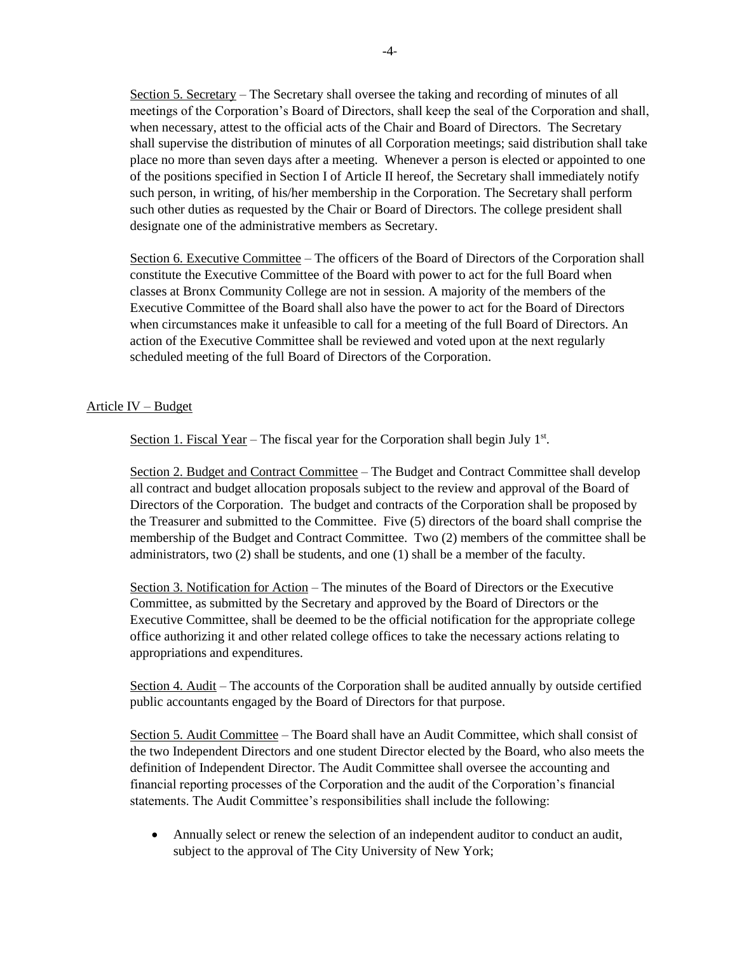Section 5. Secretary – The Secretary shall oversee the taking and recording of minutes of all meetings of the Corporation's Board of Directors, shall keep the seal of the Corporation and shall, when necessary, attest to the official acts of the Chair and Board of Directors. The Secretary shall supervise the distribution of minutes of all Corporation meetings; said distribution shall take place no more than seven days after a meeting. Whenever a person is elected or appointed to one of the positions specified in Section I of Article II hereof, the Secretary shall immediately notify such person, in writing, of his/her membership in the Corporation. The Secretary shall perform such other duties as requested by the Chair or Board of Directors. The college president shall designate one of the administrative members as Secretary.

Section 6. Executive Committee – The officers of the Board of Directors of the Corporation shall constitute the Executive Committee of the Board with power to act for the full Board when classes at Bronx Community College are not in session. A majority of the members of the Executive Committee of the Board shall also have the power to act for the Board of Directors when circumstances make it unfeasible to call for a meeting of the full Board of Directors. An action of the Executive Committee shall be reviewed and voted upon at the next regularly scheduled meeting of the full Board of Directors of the Corporation.

## Article IV – Budget

Section 1. Fiscal Year – The fiscal year for the Corporation shall begin July 1<sup>st</sup>.

Section 2. Budget and Contract Committee – The Budget and Contract Committee shall develop all contract and budget allocation proposals subject to the review and approval of the Board of Directors of the Corporation. The budget and contracts of the Corporation shall be proposed by the Treasurer and submitted to the Committee. Five (5) directors of the board shall comprise the membership of the Budget and Contract Committee. Two (2) members of the committee shall be administrators, two (2) shall be students, and one (1) shall be a member of the faculty.

Section 3. Notification for Action – The minutes of the Board of Directors or the Executive Committee, as submitted by the Secretary and approved by the Board of Directors or the Executive Committee, shall be deemed to be the official notification for the appropriate college office authorizing it and other related college offices to take the necessary actions relating to appropriations and expenditures.

Section 4. Audit – The accounts of the Corporation shall be audited annually by outside certified public accountants engaged by the Board of Directors for that purpose.

Section 5. Audit Committee – The Board shall have an Audit Committee, which shall consist of the two Independent Directors and one student Director elected by the Board, who also meets the definition of Independent Director. The Audit Committee shall oversee the accounting and financial reporting processes of the Corporation and the audit of the Corporation's financial statements. The Audit Committee's responsibilities shall include the following:

 Annually select or renew the selection of an independent auditor to conduct an audit, subject to the approval of The City University of New York;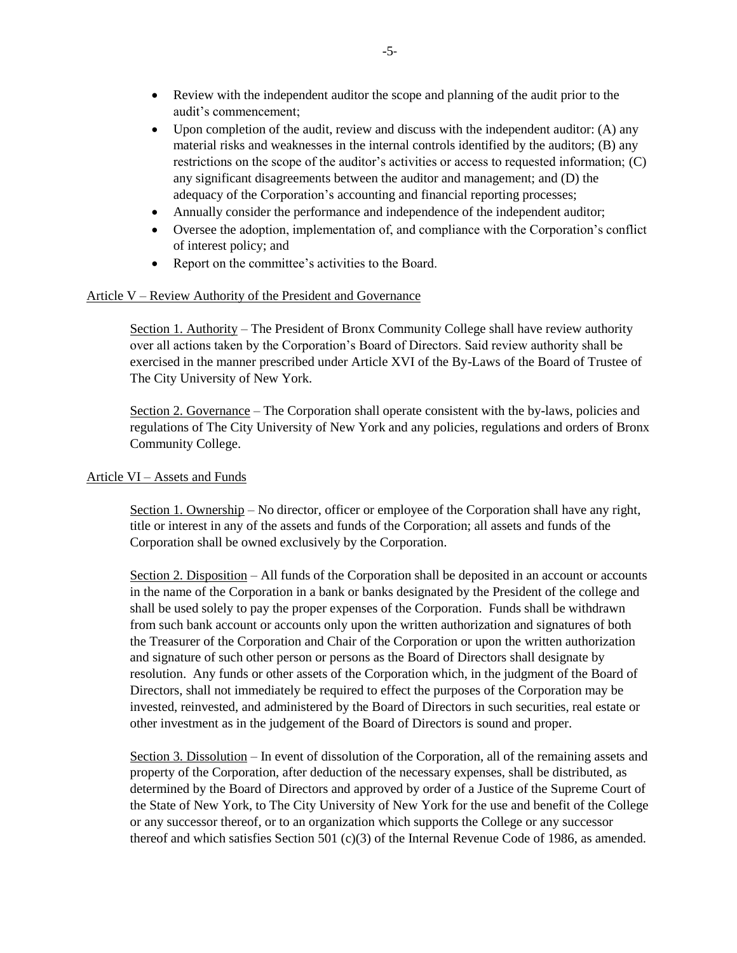- Review with the independent auditor the scope and planning of the audit prior to the audit's commencement;
- Upon completion of the audit, review and discuss with the independent auditor:  $(A)$  any material risks and weaknesses in the internal controls identified by the auditors; (B) any restrictions on the scope of the auditor's activities or access to requested information; (C) any significant disagreements between the auditor and management; and (D) the adequacy of the Corporation's accounting and financial reporting processes;
- Annually consider the performance and independence of the independent auditor;
- Oversee the adoption, implementation of, and compliance with the Corporation's conflict of interest policy; and
- Report on the committee's activities to the Board.

## Article V – Review Authority of the President and Governance

Section 1. Authority – The President of Bronx Community College shall have review authority over all actions taken by the Corporation's Board of Directors. Said review authority shall be exercised in the manner prescribed under Article XVI of the By-Laws of the Board of Trustee of The City University of New York.

Section 2. Governance – The Corporation shall operate consistent with the by-laws, policies and regulations of The City University of New York and any policies, regulations and orders of Bronx Community College.

### Article VI – Assets and Funds

Section 1. Ownership – No director, officer or employee of the Corporation shall have any right, title or interest in any of the assets and funds of the Corporation; all assets and funds of the Corporation shall be owned exclusively by the Corporation.

Section 2. Disposition – All funds of the Corporation shall be deposited in an account or accounts in the name of the Corporation in a bank or banks designated by the President of the college and shall be used solely to pay the proper expenses of the Corporation. Funds shall be withdrawn from such bank account or accounts only upon the written authorization and signatures of both the Treasurer of the Corporation and Chair of the Corporation or upon the written authorization and signature of such other person or persons as the Board of Directors shall designate by resolution. Any funds or other assets of the Corporation which, in the judgment of the Board of Directors, shall not immediately be required to effect the purposes of the Corporation may be invested, reinvested, and administered by the Board of Directors in such securities, real estate or other investment as in the judgement of the Board of Directors is sound and proper.

Section 3. Dissolution – In event of dissolution of the Corporation, all of the remaining assets and property of the Corporation, after deduction of the necessary expenses, shall be distributed, as determined by the Board of Directors and approved by order of a Justice of the Supreme Court of the State of New York, to The City University of New York for the use and benefit of the College or any successor thereof, or to an organization which supports the College or any successor thereof and which satisfies Section 501 (c)(3) of the Internal Revenue Code of 1986, as amended.